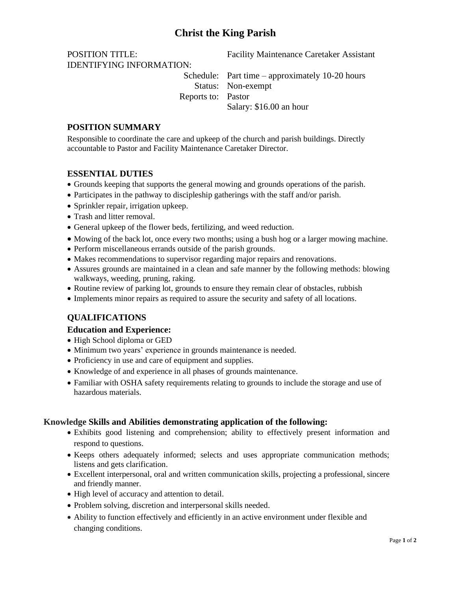# **Christ the King Parish**

# IDENTIFYING INFORMATION:

POSITION TITLE: Facility Maintenance Caretaker Assistant

Schedule: Part time – approximately 10-20 hours Status: Non-exempt Reports to: Pastor Salary: \$16.00 an hour

## **POSITION SUMMARY**

Responsible to coordinate the care and upkeep of the church and parish buildings. Directly accountable to Pastor and Facility Maintenance Caretaker Director.

#### **ESSENTIAL DUTIES**

- Grounds keeping that supports the general mowing and grounds operations of the parish.
- Participates in the pathway to discipleship gatherings with the staff and/or parish.
- Sprinkler repair, irrigation upkeep.
- Trash and litter removal.
- General upkeep of the flower beds, fertilizing, and weed reduction.
- Mowing of the back lot, once every two months; using a bush hog or a larger mowing machine.
- Perform miscellaneous errands outside of the parish grounds.
- Makes recommendations to supervisor regarding major repairs and renovations.
- Assures grounds are maintained in a clean and safe manner by the following methods: blowing walkways, weeding, pruning, raking.
- Routine review of parking lot, grounds to ensure they remain clear of obstacles, rubbish
- Implements minor repairs as required to assure the security and safety of all locations.

## **QUALIFICATIONS**

#### **Education and Experience:**

- High School diploma or GED
- Minimum two years' experience in grounds maintenance is needed.
- Proficiency in use and care of equipment and supplies.
- Knowledge of and experience in all phases of grounds maintenance.
- Familiar with OSHA safety requirements relating to grounds to include the storage and use of hazardous materials.

#### **Knowledge Skills and Abilities demonstrating application of the following:**

- Exhibits good listening and comprehension; ability to effectively present information and respond to questions.
- Keeps others adequately informed; selects and uses appropriate communication methods; listens and gets clarification.
- Excellent interpersonal, oral and written communication skills, projecting a professional, sincere and friendly manner.
- High level of accuracy and attention to detail.
- Problem solving, discretion and interpersonal skills needed.
- Ability to function effectively and efficiently in an active environment under flexible and changing conditions.